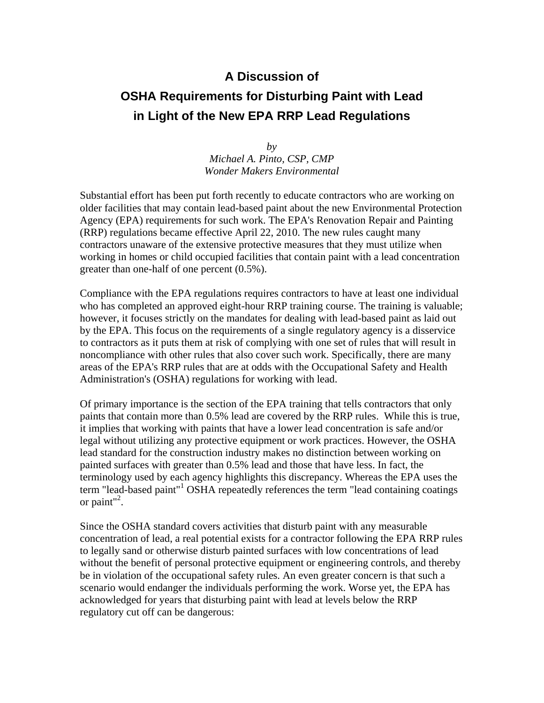## **A Discussion of OSHA Requirements for Disturbing Paint with Lead in Light of the New EPA RRP Lead Regulations**

*by Michael A. Pinto, CSP, CMP Wonder Makers Environmental* 

Substantial effort has been put forth recently to educate contractors who are working on older facilities that may contain lead-based paint about the new Environmental Protection Agency (EPA) requirements for such work. The EPA's Renovation Repair and Painting (RRP) regulations became effective April 22, 2010. The new rules caught many contractors unaware of the extensive protective measures that they must utilize when working in homes or child occupied facilities that contain paint with a lead concentration greater than one-half of one percent (0.5%).

Compliance with the EPA regulations requires contractors to have at least one individual who has completed an approved eight-hour RRP training course. The training is valuable; however, it focuses strictly on the mandates for dealing with lead-based paint as laid out by the EPA. This focus on the requirements of a single regulatory agency is a disservice to contractors as it puts them at risk of complying with one set of rules that will result in noncompliance with other rules that also cover such work. Specifically, there are many areas of the EPA's RRP rules that are at odds with the Occupational Safety and Health Administration's (OSHA) regulations for working with lead.

Of primary importance is the section of the EPA training that tells contractors that only paints that contain more than 0.5% lead are covered by the RRP rules. While this is true, it implies that working with paints that have a lower lead concentration is safe and/or legal without utilizing any protective equipment or work practices. However, the OSHA lead standard for the construction industry makes no distinction between working on painted surfaces with greater than 0.5% lead and those that have less. In fact, the terminology used by each agency highlights this discrepancy. Whereas the EPA uses the term "lead-based paint"<sup>1</sup> OSHA repeatedly references the term "lead containing coatings or paint"<sup>2</sup>.

Since the OSHA standard covers activities that disturb paint with any measurable concentration of lead, a real potential exists for a contractor following the EPA RRP rules to legally sand or otherwise disturb painted surfaces with low concentrations of lead without the benefit of personal protective equipment or engineering controls, and thereby be in violation of the occupational safety rules. An even greater concern is that such a scenario would endanger the individuals performing the work. Worse yet, the EPA has acknowledged for years that disturbing paint with lead at levels below the RRP regulatory cut off can be dangerous: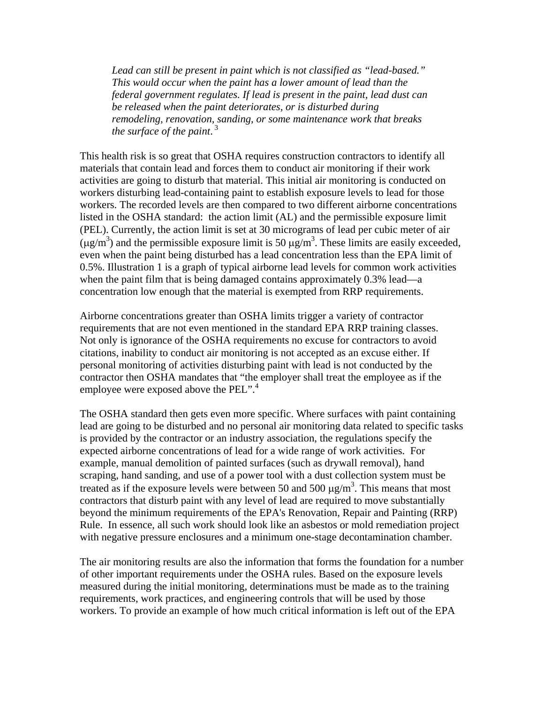*Lead can still be present in paint which is not classified as "lead-based." This would occur when the paint has a lower amount of lead than the federal government regulates. If lead is present in the paint, lead dust can be released when the paint deteriorates, or is disturbed during remodeling, renovation, sanding, or some maintenance work that breaks*  the surface of the paint.<sup>3</sup>

This health risk is so great that OSHA requires construction contractors to identify all materials that contain lead and forces them to conduct air monitoring if their work activities are going to disturb that material. This initial air monitoring is conducted on workers disturbing lead-containing paint to establish exposure levels to lead for those workers. The recorded levels are then compared to two different airborne concentrations listed in the OSHA standard: the action limit (AL) and the permissible exposure limit (PEL). Currently, the action limit is set at 30 micrograms of lead per cubic meter of air  $(\mu g/m^3)$  and the permissible exposure limit is 50  $\mu g/m^3$ . These limits are easily exceeded, even when the paint being disturbed has a lead concentration less than the EPA limit of 0.5%. Illustration 1 is a graph of typical airborne lead levels for common work activities when the paint film that is being damaged contains approximately 0.3% lead—a concentration low enough that the material is exempted from RRP requirements.

Airborne concentrations greater than OSHA limits trigger a variety of contractor requirements that are not even mentioned in the standard EPA RRP training classes. Not only is ignorance of the OSHA requirements no excuse for contractors to avoid citations, inability to conduct air monitoring is not accepted as an excuse either. If personal monitoring of activities disturbing paint with lead is not conducted by the contractor then OSHA mandates that "the employer shall treat the employee as if the employee were exposed above the PEL".<sup>4</sup>

The OSHA standard then gets even more specific. Where surfaces with paint containing lead are going to be disturbed and no personal air monitoring data related to specific tasks is provided by the contractor or an industry association, the regulations specify the expected airborne concentrations of lead for a wide range of work activities. For example, manual demolition of painted surfaces (such as drywall removal), hand scraping, hand sanding, and use of a power tool with a dust collection system must be treated as if the exposure levels were between 50 and 500  $\mu$ g/m<sup>3</sup>. This means that most contractors that disturb paint with any level of lead are required to move substantially beyond the minimum requirements of the EPA's Renovation, Repair and Painting (RRP) Rule. In essence, all such work should look like an asbestos or mold remediation project with negative pressure enclosures and a minimum one-stage decontamination chamber.

The air monitoring results are also the information that forms the foundation for a number of other important requirements under the OSHA rules. Based on the exposure levels measured during the initial monitoring, determinations must be made as to the training requirements, work practices, and engineering controls that will be used by those workers. To provide an example of how much critical information is left out of the EPA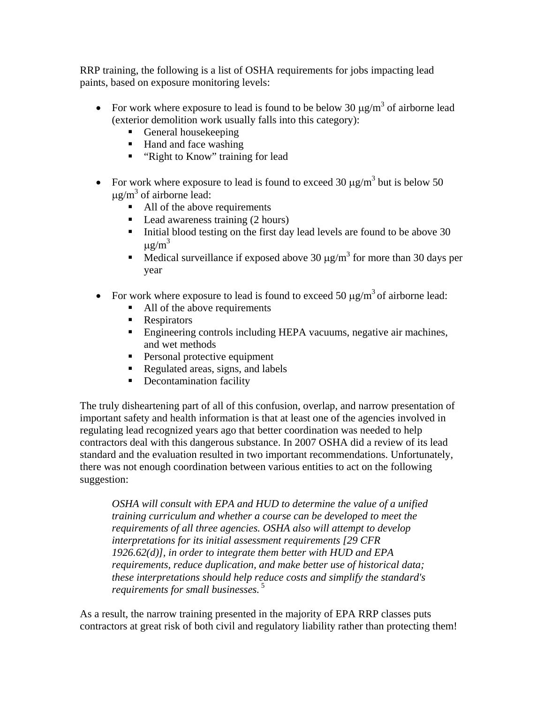RRP training, the following is a list of OSHA requirements for jobs impacting lead paints, based on exposure monitoring levels:

- For work where exposure to lead is found to be below 30  $\mu$ g/m<sup>3</sup> of airborne lead (exterior demolition work usually falls into this category):
	- General house keeping
	- Hand and face washing
	- "Right to Know" training for lead
- For work where exposure to lead is found to exceed 30  $\mu$ g/m<sup>3</sup> but is below 50  $\mu$ g/m<sup>3</sup> of airborne lead:
	- All of the above requirements
	- Lead awareness training (2 hours)
	- Initial blood testing on the first day lead levels are found to be above  $30$  $\mu$ g/m<sup>3</sup>
	- Medical surveillance if exposed above 30  $\mu$ g/m<sup>3</sup> for more than 30 days per year
- For work where exposure to lead is found to exceed 50  $\mu$ g/m<sup>3</sup> of airborne lead:
	- All of the above requirements
	- **Respirators**
	- **Engineering controls including HEPA vacuums, negative air machines,** and wet methods
	- **Personal protective equipment**
	- Regulated areas, signs, and labels
	- Decontamination facility

The truly disheartening part of all of this confusion, overlap, and narrow presentation of important safety and health information is that at least one of the agencies involved in regulating lead recognized years ago that better coordination was needed to help contractors deal with this dangerous substance. In 2007 OSHA did a review of its lead standard and the evaluation resulted in two important recommendations. Unfortunately, there was not enough coordination between various entities to act on the following suggestion:

*OSHA will consult with EPA and HUD to determine the value of a unified training curriculum and whether a course can be developed to meet the requirements of all three agencies. OSHA also will attempt to develop interpretations for its initial assessment requirements [29 CFR 1926.62(d)], in order to integrate them better with HUD and EPA requirements, reduce duplication, and make better use of historical data; these interpretations should help reduce costs and simplify the standard's requirements for small businesses.*<sup>5</sup>

As a result, the narrow training presented in the majority of EPA RRP classes puts contractors at great risk of both civil and regulatory liability rather than protecting them!